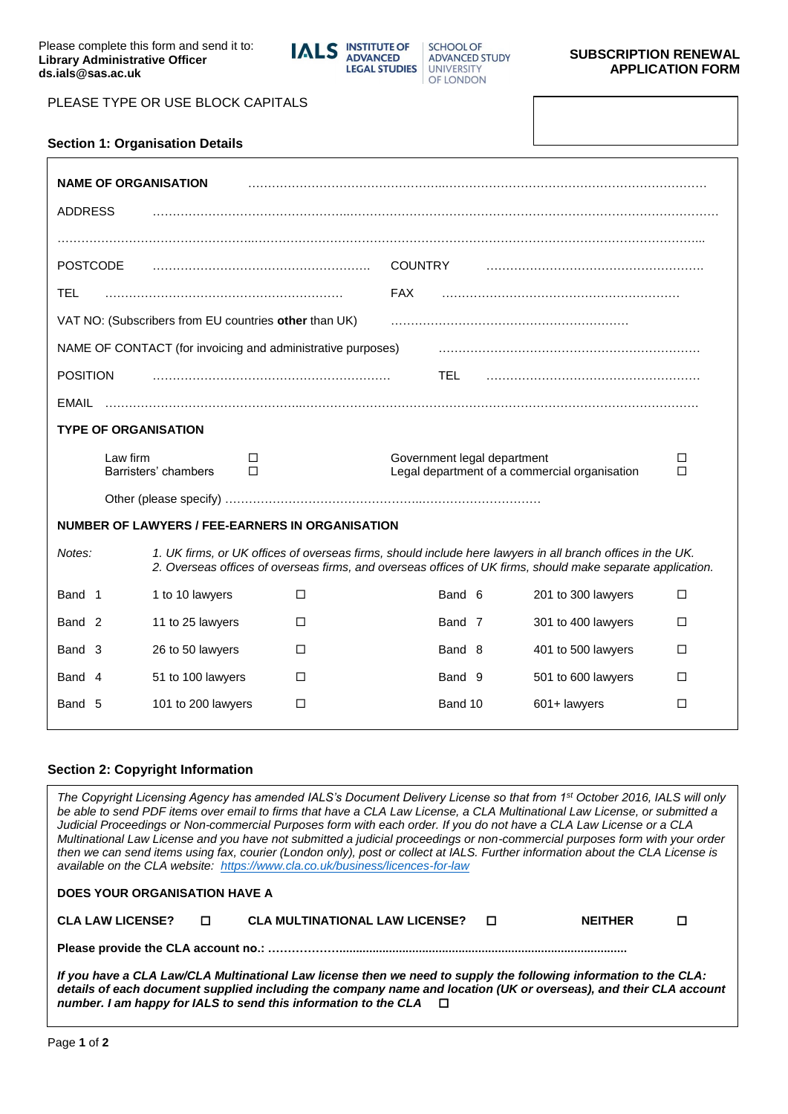

SCHOOL OF **ADVANCED STUDY** UNIVERSITY **OF LONDON** 

## **SUBSCRIPTION RENEWAL APPLICATION FORM**

PLEASE TYPE OR USE BLOCK CAPITALS

|  | <b>Section 1: Organisation Details</b> |  |
|--|----------------------------------------|--|
|  |                                        |  |

| <b>NAME OF ORGANISATION</b><br><b>ADDRESS</b> |                                                             |                |                             |                                                                                                                                                                                                                          |        |
|-----------------------------------------------|-------------------------------------------------------------|----------------|-----------------------------|--------------------------------------------------------------------------------------------------------------------------------------------------------------------------------------------------------------------------|--------|
|                                               |                                                             |                |                             |                                                                                                                                                                                                                          |        |
| <b>POSTCODE</b>                               |                                                             | <b>COUNTRY</b> |                             |                                                                                                                                                                                                                          |        |
| <b>TEL</b>                                    |                                                             | <b>FAX</b>     |                             |                                                                                                                                                                                                                          |        |
|                                               | VAT NO: (Subscribers from EU countries other than UK)       |                |                             |                                                                                                                                                                                                                          |        |
|                                               | NAME OF CONTACT (for invoicing and administrative purposes) |                |                             |                                                                                                                                                                                                                          |        |
| <b>POSITION</b>                               |                                                             |                | TEL.                        |                                                                                                                                                                                                                          |        |
| EMAIL                                         |                                                             |                |                             |                                                                                                                                                                                                                          |        |
| <b>TYPE OF ORGANISATION</b>                   |                                                             |                |                             |                                                                                                                                                                                                                          |        |
|                                               |                                                             |                |                             |                                                                                                                                                                                                                          |        |
| Law firm                                      | ΙI<br>Barristers' chambers<br>п                             |                | Government legal department | Legal department of a commercial organisation                                                                                                                                                                            | □<br>П |
|                                               |                                                             |                |                             |                                                                                                                                                                                                                          |        |
|                                               | NUMBER OF LAWYERS / FEE-EARNERS IN ORGANISATION             |                |                             |                                                                                                                                                                                                                          |        |
| Notes:                                        |                                                             |                |                             | 1. UK firms, or UK offices of overseas firms, should include here lawyers in all branch offices in the UK.<br>2. Overseas offices of overseas firms, and overseas offices of UK firms, should make separate application. |        |
| Band 1                                        | 1 to 10 lawyers                                             | П              | Band 6                      | 201 to 300 lawyers                                                                                                                                                                                                       | $\Box$ |
| Band <sub>2</sub>                             | 11 to 25 lawyers                                            | П              | Band 7                      | 301 to 400 lawyers                                                                                                                                                                                                       | $\Box$ |
| Band 3                                        | 26 to 50 lawyers                                            | п              | Band 8                      | 401 to 500 lawyers                                                                                                                                                                                                       | □      |
| Band 4                                        | 51 to 100 lawyers                                           | □              | Band 9                      | 501 to 600 lawyers                                                                                                                                                                                                       | □      |

#### **Section 2: Copyright Information**

*The Copyright Licensing Agency has amended IALS's Document Delivery License so that from 1st October 2016, IALS will only be able to send PDF items over email to firms that have a CLA Law License, a CLA Multinational Law License, or submitted a Judicial Proceedings or Non-commercial Purposes form with each order. If you do not have a CLA Law License or a CLA Multinational Law License and you have not submitted a judicial proceedings or non-commercial purposes form with your order then we can send items using fax, courier (London only), post or collect at IALS. Further information about the CLA License is available on the CLA website: <https://www.cla.co.uk/business/licences-for-law>*

| <b>DOES YOUR ORGANISATION HAVE A</b> |                |                                         |  |                |  |
|--------------------------------------|----------------|-----------------------------------------|--|----------------|--|
| <b>CLA LAW LICENSE?</b>              | $\blacksquare$ | CLA MULTINATIONAL LAW LICENSE? [ $\Box$ |  | <b>NFITHFR</b> |  |
|                                      |                |                                         |  |                |  |

*If you have a CLA Law/CLA Multinational Law license then we need to supply the following information to the CLA: details of each document supplied including the company name and location (UK or overseas), and their CLA account number. I am happy for IALS to send this information to the CLA*